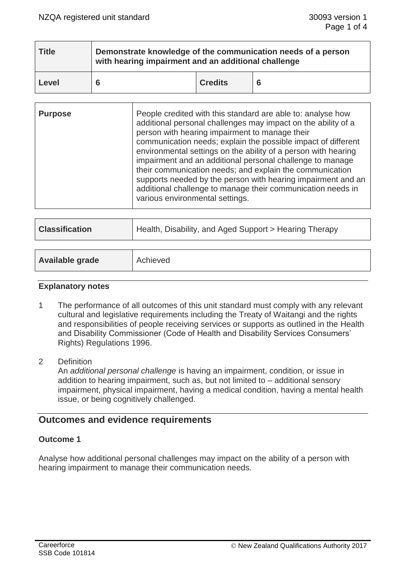| <b>Title</b> | Demonstrate knowledge of the communication needs of a person<br>with hearing impairment and an additional challenge |                |    |
|--------------|---------------------------------------------------------------------------------------------------------------------|----------------|----|
| Level        |                                                                                                                     | <b>Credits</b> | -6 |

| <b>Purpose</b> | People credited with this standard are able to: analyse how<br>additional personal challenges may impact on the ability of a<br>person with hearing impairment to manage their<br>communication needs; explain the possible impact of different<br>environmental settings on the ability of a person with hearing<br>impairment and an additional personal challenge to manage<br>their communication needs; and explain the communication<br>supports needed by the person with hearing impairment and an<br>additional challenge to manage their communication needs in<br>various environmental settings. |
|----------------|--------------------------------------------------------------------------------------------------------------------------------------------------------------------------------------------------------------------------------------------------------------------------------------------------------------------------------------------------------------------------------------------------------------------------------------------------------------------------------------------------------------------------------------------------------------------------------------------------------------|
|----------------|--------------------------------------------------------------------------------------------------------------------------------------------------------------------------------------------------------------------------------------------------------------------------------------------------------------------------------------------------------------------------------------------------------------------------------------------------------------------------------------------------------------------------------------------------------------------------------------------------------------|

| <b>Classification</b> | Health, Disability, and Aged Support > Hearing Therapy |
|-----------------------|--------------------------------------------------------|
|                       |                                                        |

| Achieved |
|----------|
|          |
|          |

### **Explanatory notes**

- 1 The performance of all outcomes of this unit standard must comply with any relevant cultural and legislative requirements including the Treaty of Waitangi and the rights and responsibilities of people receiving services or supports as outlined in the Health and Disability Commissioner (Code of Health and Disability Services Consumers' Rights) Regulations 1996.
- 2 Definition An *additional personal challenge* is having an impairment, condition, or issue in addition to hearing impairment, such as, but not limited to – additional sensory impairment, physical impairment, having a medical condition, having a mental health issue, or being cognitively challenged.

# **Outcomes and evidence requirements**

# **Outcome 1**

Analyse how additional personal challenges may impact on the ability of a person with hearing impairment to manage their communication needs.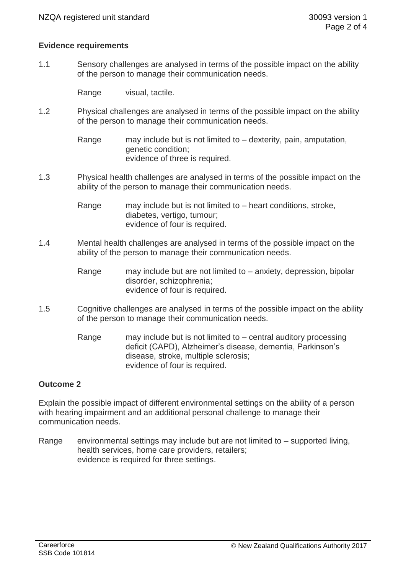## **Evidence requirements**

1.1 Sensory challenges are analysed in terms of the possible impact on the ability of the person to manage their communication needs.

Range visual, tactile.

1.2 Physical challenges are analysed in terms of the possible impact on the ability of the person to manage their communication needs.

> Range may include but is not limited to – dexterity, pain, amputation, genetic condition; evidence of three is required.

1.3 Physical health challenges are analysed in terms of the possible impact on the ability of the person to manage their communication needs.

> Range may include but is not limited to – heart conditions, stroke, diabetes, vertigo, tumour; evidence of four is required.

- 1.4 Mental health challenges are analysed in terms of the possible impact on the ability of the person to manage their communication needs.
	- Range may include but are not limited to anxiety, depression, bipolar disorder, schizophrenia; evidence of four is required.
- 1.5 Cognitive challenges are analysed in terms of the possible impact on the ability of the person to manage their communication needs.
	- Range may include but is not limited to central auditory processing deficit (CAPD), Alzheimer's disease, dementia, Parkinson's disease, stroke, multiple sclerosis; evidence of four is required.

# **Outcome 2**

Explain the possible impact of different environmental settings on the ability of a person with hearing impairment and an additional personal challenge to manage their communication needs.

Range environmental settings may include but are not limited to  $-$  supported living, health services, home care providers, retailers; evidence is required for three settings.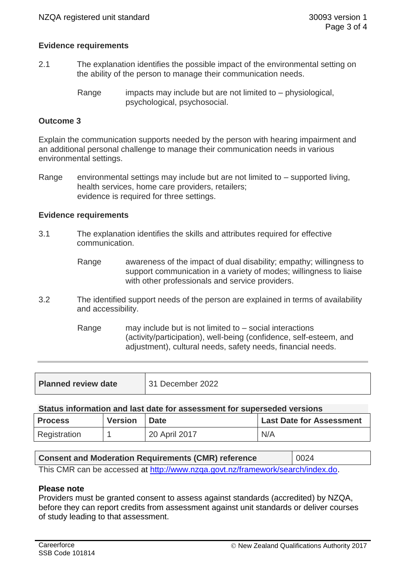## **Evidence requirements**

- 2.1 The explanation identifies the possible impact of the environmental setting on the ability of the person to manage their communication needs.
	- Range impacts may include but are not limited to  $-$  physiological, psychological, psychosocial.

### **Outcome 3**

Explain the communication supports needed by the person with hearing impairment and an additional personal challenge to manage their communication needs in various environmental settings.

Range environmental settings may include but are not limited to – supported living, health services, home care providers, retailers; evidence is required for three settings.

#### **Evidence requirements**

- 3.1 The explanation identifies the skills and attributes required for effective communication.
	- Range awareness of the impact of dual disability; empathy; willingness to support communication in a variety of modes; willingness to liaise with other professionals and service providers.
- 3.2 The identified support needs of the person are explained in terms of availability and accessibility.
	- Range may include but is not limited to social interactions (activity/participation), well-being (confidence, self-esteem, and adjustment), cultural needs, safety needs, financial needs.

| <b>Planned review date</b> | 31 December 2022 |
|----------------------------|------------------|
|                            |                  |

#### **Status information and last date for assessment for superseded versions**

| <b>Process</b> | <b>Version</b> | <b>Date</b>   | <b>Last Date for Assessment</b> |
|----------------|----------------|---------------|---------------------------------|
| Registration   |                | 20 April 2017 | N/A                             |

| <b>Consent and Moderation Requirements (CMR) reference</b>                     | 0024 |
|--------------------------------------------------------------------------------|------|
| This CMR can be accessed at http://www.nzqa.govt.nz/framework/search/index.do. |      |

#### **Please note**

Providers must be granted consent to assess against standards (accredited) by NZQA, before they can report credits from assessment against unit standards or deliver courses of study leading to that assessment.